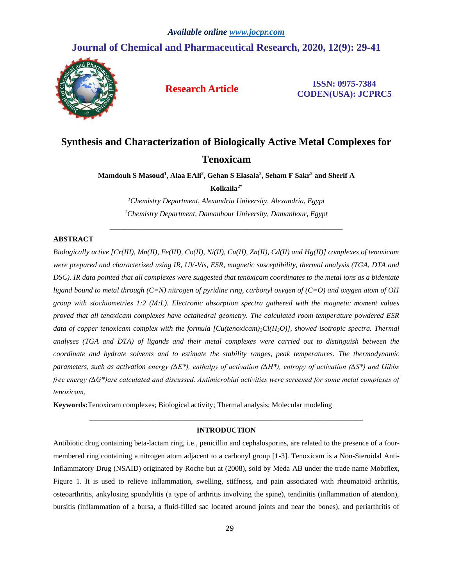## **Journal of Chemical and Pharmaceutical Research, 2020, 12(9): 29-41**



**Research Article ISSN: 0975-7384 CODEN(USA): JCPRC5**

# **Synthesis and Characterization of Biologically Active Metal Complexes for Tenoxicam**

**Mamdouh S Masoud<sup>1</sup> , Alaa EAli<sup>2</sup> , Gehan S Elasala<sup>2</sup> , Seham F Sakr<sup>2</sup> and Sherif A**

**Kolkaila2\***

*<sup>1</sup>Chemistry Department, Alexandria University, Alexandria, Egypt <sup>2</sup>Chemistry Department, Damanhour University, Damanhour, Egypt*

\_\_\_\_\_\_\_\_\_\_\_\_\_\_\_\_\_\_\_\_\_\_\_\_\_\_\_\_\_\_\_\_\_\_\_\_\_\_\_\_\_\_\_\_\_\_\_\_\_\_\_\_\_\_\_\_\_\_\_\_\_\_\_

### **ABSTRACT**

*Biologically active [Cr(III), Mn(II), Fe(III), Co(II), Ni(II), Cu(II), Zn(II), Cd(II) and Hg(II)] complexes of tenoxicam were prepared and characterized using IR, UV-Vis, ESR, magnetic susceptibility, thermal analysis (TGA, DTA and DSC). IR data pointed that all complexes were suggested that tenoxicam coordinates to the metal ions as a bidentate ligand bound to metal through (C=N) nitrogen of pyridine ring, carbonyl oxygen of (C=O) and oxygen atom of OH group with stochiometries 1:2 (M:L). Electronic absorption spectra gathered with the magnetic moment values proved that all tenoxicam complexes have octahedral geometry. The calculated room temperature powdered ESR data of copper tenoxicam complex with the formula [Cu(tenoxicam)2Cl(H2O)], showed isotropic spectra. Thermal analyses (TGA and DTA) of ligands and their metal complexes were carried out to distinguish between the coordinate and hydrate solvents and to estimate the stability ranges, peak temperatures. The thermodynamic parameters, such as activation energy (∆E\*), enthalpy of activation (∆H\*), entropy of activation (∆S\*) and Gibbs free energy (∆G\*)are calculated and discussed. Antimicrobial activities were screened for some metal complexes of tenoxicam.*

**Keywords:**Tenoxicam complexes; Biological activity; Thermal analysis; Molecular modeling

## *\_\_\_\_\_\_\_\_\_\_\_\_\_\_\_\_\_\_\_\_\_\_\_\_\_\_\_\_\_\_\_\_\_\_\_\_\_\_\_\_\_\_\_\_\_\_\_\_\_\_\_\_\_\_\_\_\_\_\_\_\_\_\_\_\_\_\_\_\_\_\_\_\_\_* **INTRODUCTION**

Antibiotic drug containing beta-lactam ring, i.e., penicillin and cephalosporins, are related to the presence of a fourmembered ring containing a nitrogen atom adjacent to a carbonyl group [1-3]. Tenoxicam is a Non-Steroidal Anti-Inflammatory Drug (NSAID) originated by Roche but at (2008), sold by Meda AB under the trade name Mobiflex, Figure 1. It is used to relieve inflammation, swelling, stiffness, and pain associated with rheumatoid arthritis, osteoarthritis, ankylosing spondylitis (a type of arthritis involving the spine), tendinitis (inflammation of atendon), bursitis (inflammation of a bursa, a fluid-filled sac located around joints and near the bones), and periarthritis of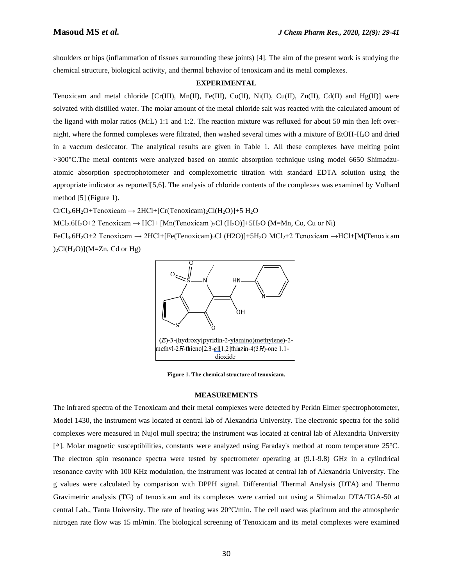shoulders or hips (inflammation of tissues surrounding these joints) [4]. The aim of the present work is studying the chemical structure, biological activity, and thermal behavior of tenoxicam and its metal complexes.

### **EXPERIMENTAL**

Tenoxicam and metal chloride  $[Cr(III), Mn(II), Fe(III), Co(II), Ni(II), Cu(II), Zn(II), Cd(II), and Hg(II)]$  were solvated with distilled water. The molar amount of the metal chloride salt was reacted with the calculated amount of the ligand with molar ratios (M:L) 1:1 and 1:2. The reaction mixture was refluxed for about 50 min then left overnight, where the formed complexes were filtrated, then washed several times with a mixture of EtOH-H2O and dried in a vaccum desiccator. The analytical results are given in Table 1. All these complexes have melting point >300°C.The metal contents were analyzed based on atomic absorption technique using model 6650 Shimadzuatomic absorption spectrophotometer and complexometric titration with standard EDTA solution using the appropriate indicator as reported[5,6]. The analysis of chloride contents of the complexes was examined by Volhard method [5] (Figure 1).

 $CrCl<sub>3</sub>.6H<sub>2</sub>O+Tenoxicam \rightarrow 2HCl+[Cr(Tenoxicam)<sub>2</sub>Cl(H<sub>2</sub>O)]+5 H<sub>2</sub>O$ 

 $MCl_2.6H_2O+2$  Tenoxicam  $\rightarrow$  HCl+ [Mn(Tenoxicam )<sub>2</sub>Cl (H<sub>2</sub>O)]+5H<sub>2</sub>O (M=Mn, Co, Cu or Ni)

FeCl3.6H2O+2 Tenoxicam → 2HCl+[Fe(Tenoxicam)2Cl (H2O)]+5H2O MCl2+2 Tenoxicam →HCl+[M(Tenoxicam  $2cI(H_2O)(M=Zn, Cd or Hg)$ 



**Figure 1. The chemical structure of tenoxicam.**

### **MEASUREMENTS**

The infrared spectra of the Tenoxicam and their metal complexes were detected by Perkin Elmer spectrophotometer, Model 1430, the instrument was located at central lab of Alexandria University. The electronic spectra for the solid complexes were measured in Nujol mull spectra; the instrument was located at central lab of Alexandria University [٥]. Molar magnetic susceptibilities, constants were analyzed using Faraday's method at room temperature 25°C. The electron spin resonance spectra were tested by spectrometer operating at (9.1-9.8) GHz in a cylindrical resonance cavity with 100 KHz modulation, the instrument was located at central lab of Alexandria University. The g values were calculated by comparison with DPPH signal. Differential Thermal Analysis (DTA) and Thermo Gravimetric analysis (TG) of tenoxicam and its complexes were carried out using a Shimadzu DTA/TGA-50 at central Lab., Tanta University. The rate of heating was 20°C/min. The cell used was platinum and the atmospheric nitrogen rate flow was 15 ml/min. The biological screening of Tenoxicam and its metal complexes were examined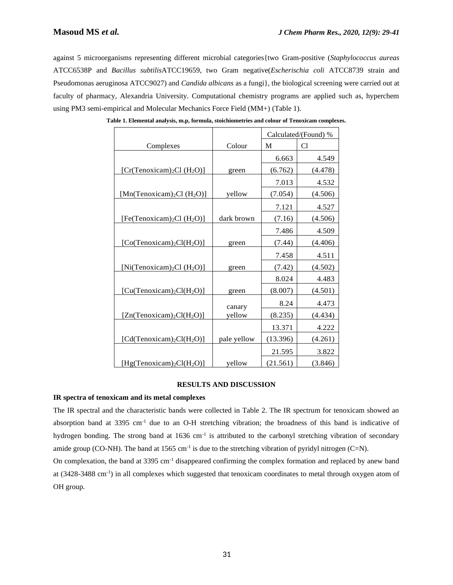against 5 microorganisms representing different microbial categories{two Gram-positive (*Staphylococcus aureas* ATCC6538P and *Bacillus subtilis*ATCC19659, two Gram negative(*Escherischia coli* ATCC8739 strain and Pseudomonas aeruginosa ATCC9027) and *Candida albicans* as a fungi}, the biological screening were carried out at faculty of pharmacy, Alexandria University. Computational chemistry programs are applied such as, hyperchem using PM3 semi-empirical and Molecular Mechanics Force Field (MM+) (Table 1).

|                                                    |             | Calculated/(Found) % |         |  |  |
|----------------------------------------------------|-------------|----------------------|---------|--|--|
| Complexes                                          | Colour      | M                    | C1      |  |  |
|                                                    |             | 6.663                | 4.549   |  |  |
| [Cr(Tenoxicam) <sub>2</sub> Cl (H <sub>2</sub> O)] | green       | (6.762)              | (4.478) |  |  |
|                                                    |             | 7.013                | 4.532   |  |  |
| [Mn(Tenoxicam) <sub>2</sub> Cl (H <sub>2</sub> O)] | yellow      | (7.054)              | (4.506) |  |  |
|                                                    |             | 7.121                | 4.527   |  |  |
| [Fe(Tenoxicam) <sub>2</sub> Cl (H <sub>2</sub> O)] | dark brown  | (7.16)               | (4.506) |  |  |
|                                                    |             | 7.486                | 4.509   |  |  |
| [Co(Tenoxicam) <sub>2</sub> Cl(H <sub>2</sub> O)]  | green       | (7.44)               | (4.406) |  |  |
|                                                    |             | 7.458                | 4.511   |  |  |
| [Ni(Tenoxicam) <sub>2</sub> Cl (H <sub>2</sub> O)] | green       | (7.42)               | (4.502) |  |  |
|                                                    |             | 8.024                | 4.483   |  |  |
| $[Cu(Tenoxicam)2Cl(H2O)]$                          | green       | (8.007)              | (4.501) |  |  |
|                                                    | canary      | 8.24                 | 4.473   |  |  |
| $[Zn(Tenoxicam)2Cl(H2O)]$                          | yellow      | (8.235)              | (4.434) |  |  |
|                                                    |             | 13.371               | 4.222   |  |  |
| [Cd(Tenoxicam) <sub>2</sub> Cl(H <sub>2</sub> O)]  | pale yellow | (13.396)             | (4.261) |  |  |
|                                                    |             | 21.595               | 3.822   |  |  |
| [Hg(Tenoxicam) <sub>2</sub> Cl(H <sub>2</sub> O)]  | yellow      | (21.561)             | (3.846) |  |  |

**Table 1. Elemental analysis, m.p, formula, stoichiometries and colour of Tenoxicam complexes.**

### **RESULTS AND DISCUSSION**

### **IR spectra of tenoxicam and its metal complexes**

The IR spectral and the characteristic bands were collected in Table 2. The IR spectrum for tenoxicam showed an absorption band at 3395 cm-1 due to an O-H stretching vibration; the broadness of this band is indicative of hydrogen bonding. The strong band at 1636 cm<sup>-1</sup> is attributed to the carbonyl stretching vibration of secondary amide group (CO-NH). The band at 1565 cm<sup>-1</sup> is due to the stretching vibration of pyridyl nitrogen (C=N).

On complexation, the band at 3395 cm-1 disappeared confirming the complex formation and replaced by anew band at (3428-3488 cm<sup>-1</sup>) in all complexes which suggested that tenoxicam coordinates to metal through oxygen atom of OH group.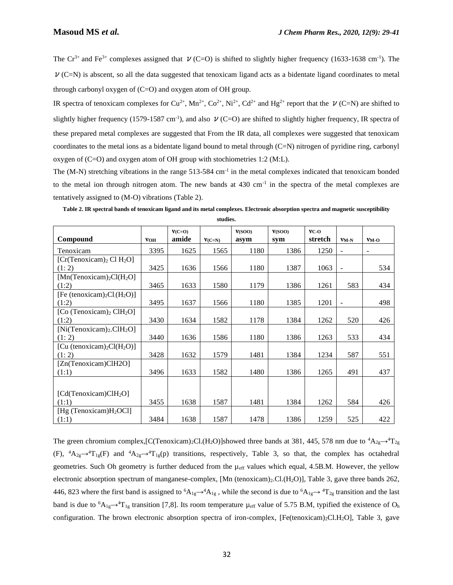The Cr<sup>3+</sup> and Fe<sup>3+</sup> complexes assigned that  $\nu$  (C=O) is shifted to slightly higher frequency (1633-1638 cm<sup>-1</sup>). The  $\nu$  (C=N) is abscent, so all the data suggested that tenoxicam ligand acts as a bidentate ligand coordinates to metal through carbonyl oxygen of (C=O) and oxygen atom of OH group.

IR spectra of tenoxicam complexes for Cu<sup>2+</sup>, Mn<sup>2+</sup>, Co<sup>2+</sup>, Ni<sup>2+</sup>, Cd<sup>2+</sup> and Hg<sup>2+</sup> report that the  $\nu$  (C=N) are shifted to slightly higher frequency (1579-1587 cm<sup>-1</sup>), and also  $\nu$  (C=O) are shifted to slightly higher frequency, IR spectra of these prepared metal complexes are suggested that From the IR data, all complexes were suggested that tenoxicam coordinates to the metal ions as a bidentate ligand bound to metal through (C=N) nitrogen of pyridine ring, carbonyl oxygen of (C=O) and oxygen atom of OH group with stochiometries 1:2 (M:L).

The  $(M-N)$  stretching vibrations in the range 513-584 cm<sup>-1</sup> in the metal complexes indicated that tenoxicam bonded to the metal ion through nitrogen atom. The new bands at  $430 \text{ cm}^{-1}$  in the spectra of the metal complexes are tentatively assigned to (M-O) vibrations (Table 2).

| Compound                                                     | <b>VOH</b> | $V(C=0)$<br>amide |          | V(SOO) | V(SOO)<br>svm | $VC-O$<br>stretch | VM-N                     | $VM-O$ |
|--------------------------------------------------------------|------------|-------------------|----------|--------|---------------|-------------------|--------------------------|--------|
|                                                              |            |                   | $V(C=N)$ | asym   |               |                   |                          |        |
| Tenoxicam                                                    | 3395       | 1625              | 1565     | 1180   | 1386          | 1250              | $\overline{\phantom{0}}$ |        |
| [Cr(Tenoxicam) <sub>2</sub> Cl H <sub>2</sub> O]             |            |                   |          |        |               |                   |                          |        |
| (1:2)                                                        | 3425       | 1636              | 1566     | 1180   | 1387          | 1063              | $\overline{a}$           | 534    |
| [Mn(Tenoxicam) <sub>2</sub> Cl(H <sub>2</sub> O]             |            |                   |          |        |               |                   |                          |        |
| (1:2)                                                        | 3465       | 1633              | 1580     | 1179   | 1386          | 1261              | 583                      | 434    |
| [Fe (tenoxicam) <sub>2</sub> Cl <sub>(H<sub>2</sub>O)]</sub> |            |                   |          |        |               |                   |                          |        |
| (1:2)                                                        | 3495       | 1637              | 1566     | 1180   | 1385          | 1201              | $\overline{a}$           | 498    |
| [Co (Tenoxicam) <sub>2</sub> ClH <sub>2</sub> O]             |            |                   |          |        |               |                   |                          |        |
| (1:2)                                                        | 3430       | 1634              | 1582     | 1178   | 1384          | 1262              | 520                      | 426    |
| $[Ni(Tenoxican)2.CH2O]$                                      |            |                   |          |        |               |                   |                          |        |
| (1:2)                                                        | 3440       | 1636              | 1586     | 1180   | 1386          | 1263              | 533                      | 434    |
| [Cu (tenoxicam) <sub>2</sub> Cl(H <sub>2</sub> O)]           |            |                   |          |        |               |                   |                          |        |
| (1:2)                                                        | 3428       | 1632              | 1579     | 1481   | 1384          | 1234              | 587                      | 551    |
| [Zn(Tenoxicam)ClH2O]                                         |            |                   |          |        |               |                   |                          |        |
| (1:1)                                                        | 3496       | 1633              | 1582     | 1480   | 1386          | 1265              | 491                      | 437    |
|                                                              |            |                   |          |        |               |                   |                          |        |
|                                                              |            |                   |          |        |               |                   |                          |        |
| [Cd(Tenoxicam)CH <sub>2</sub> O]                             | 3455       | 1638              | 1587     | 1481   | 1384          |                   | 584                      | 426    |
| (1:1)                                                        |            |                   |          |        |               | 1262              |                          |        |
| [Hg (Tenoxicam) $H_2$ OCl]                                   |            |                   |          |        |               |                   |                          |        |
| (1:1)                                                        | 3484       | 1638              | 1587     | 1478   | 1386          | 1259              | 525                      | 422    |

**Table 2. IR spectral bands of tenoxicam ligand and its metal complexes. Electronic absorption spectra and magnetic susceptibility studies.**

The green chromium complex,[C(Tenoxicam)<sub>2</sub>Cl.(H<sub>2</sub>O)]showed three bands at 381, 445, 578 nm due to  ${}^4A_{2g} \rightarrow {}^4T_{2g}$ (F),  ${}^4A_{2g} \rightarrow {}^4T_{1g}(F)$  and  ${}^4A_{2g} \rightarrow {}^4T_{1g}(p)$  transitions, respectively, Table 3, so that, the complex has octahedral geometries. Such Oh geometry is further deduced from the µeff values which equal, 4.5B.M. However, the yellow electronic absorption spectrum of manganese-complex, [Mn (tenoxicam)<sub>2</sub>.Cl.(H<sub>2</sub>O)], Table 3, gave three bands 262, 446, 823 where the first band is assigned to  ${}^6A_{1g} \rightarrow {}^4A_{1g}$ , while the second is due to  ${}^6A_{1g} \rightarrow {}^4T_{2g}$  transition and the last band is due to  ${}^{6}A_{1g} \rightarrow {}^{4}T_{1g}$  transition [7,8]. Its room temperature  $\mu_{eff}$  value of 5.75 B.M, typified the existence of O<sub>h</sub> configuration. The brown electronic absorption spectra of iron-complex,  $[Fe(tenoxican)_{2}Cl.H_{2}O]$ , Table 3, gave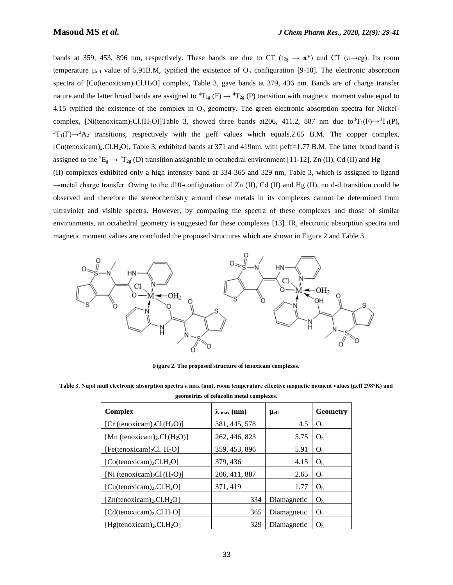bands at 359, 453, 896 nm, respectively. These bands are due to CT ( $t_{2g} \to \pi^*$ ) and CT ( $\pi \to e g$ ). Its room temperature  $\mu_{\text{eff}}$  value of 5.91B.M, typified the existence of  $O_h$  configuration [9-10]. The electronic absorption spectra of [Co(tenoxicam)<sub>2</sub>Cl.H<sub>2</sub>O] complex, Table 3, gave bands at 379, 436 nm. Bands are of charge transfer nature and the latter broad bands are assigned to  ${}^4T_{1g}$  (F)  $\rightarrow {}^4T_{2g}$  (P) transition with magnetic moment value equal to 4.15 typified the existence of the complex in  $O<sub>h</sub>$  geometry. The green electronic absorption spectra for Nickelcomplex, [Ni(tenoxicam)<sub>2</sub>Cl.(H<sub>2</sub>O)]Table 3, showed three bands at206, 411.2, 887 nm due to<sup>3</sup>T<sub>1</sub>(F) $\rightarrow$ <sup>3</sup>T<sub>1</sub>(P),  ${}^{3}T_{1}(F) \rightarrow {}^{3}A_{2}$  transitions, respectively with the µeff values which equals, 2.65 B.M. The copper complex, [Cu(tenoxicam)<sub>2</sub>.Cl.H<sub>2</sub>O], Table 3, exhibited bands at 371 and 419nm, with  $\mu$ eff=1.77 B.M. The latter broad band is assigned to the <sup>2</sup>E<sub>g</sub>  $\rightarrow$  <sup>2</sup>T<sub>2g</sub> (D) transition assignable to octahedral environment [11-12]. Zn (II), Cd (II) and Hg (II) complexes exhibited only a high intensity band at 334-365 and 329 nm, Table 3, which is assigned to ligand  $\rightarrow$ metal charge transfer. Owing to the d10-configuration of Zn (II), Cd (II) and Hg (II), no d-d transition could be observed and therefore the stereochemistry around these metals in its complexes cannot be determined from ultraviolet and visible spectra. However, by comparing the spectra of these complexes and those of similar environments, an octahedral geometry is suggested for these complexes [13]. IR, electronic absorption spectra and magnetic moment values are concluded the proposed structures which are shown in Figure 2 and Table 3.



**Figure 2. The proposed structure of tenoxicam complexes.**

**Table 3. Nujol mull electronic absorption spectra λ max (nm), room temperature effective magnetic moment values (µeff 298°K) and geometries of cefazolin metal complexes.**

| Complex                                                      | $\lambda$ max (nm) | <b>L</b> eff | Geometry       |
|--------------------------------------------------------------|--------------------|--------------|----------------|
| [Cr (tenoxicam) <sub>2</sub> Cl <sub>(H<sub>2</sub>O)]</sub> | 381, 445, 578      | 4.5          | O <sub>h</sub> |
| [Mn (tenoxicam) <sub>2</sub> .Cl( $H_2O$ )]                  | 262, 446, 823      | 5.75         | O <sub>h</sub> |
| [Fe(tenoxicam) <sub>2</sub> Cl. $H_2O$ ]                     | 359, 453, 896      | 5.91         | O <sub>h</sub> |
| [Co(tenoxicam) <sub>2</sub> Cl.H <sub>2</sub> O]             | 379, 436           | 4.15         | O <sub>h</sub> |
| [Ni (tenoxicam) <sub>2</sub> $Cl(H_2O)$ ]                    | 206, 411, 887      | 2.65         | O <sub>h</sub> |
| $[Cu(tenoxicam)2.Cl.H2O]$                                    | 371.419            | 1.77         | O <sub>h</sub> |
| $[Zn(tenoxicam)2.Cl.H2O]$                                    | 334                | Diamagnetic  | O <sub>h</sub> |
| $[Cd(tenoxicam)2.Cl.H2O]$                                    | 365                | Diamagnetic  | O <sub>h</sub> |
| $[Hg(tenoxicam)2,Cl.H2O]$                                    | 329                | Diamagnetic  | O <sub>h</sub> |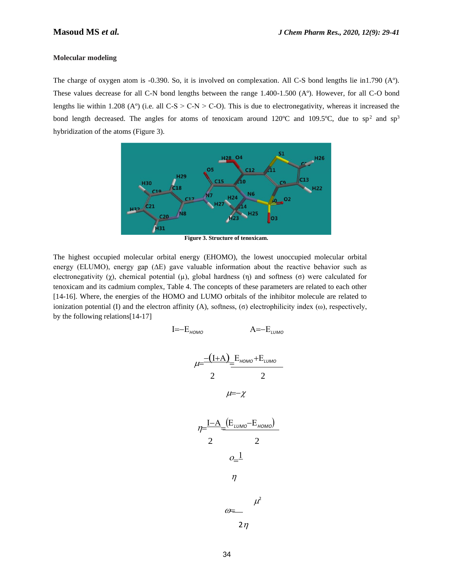### **Molecular modeling**

The charge of oxygen atom is -0.390. So, it is involved on complexation. All C-S bond lengths lie in1.790 (Aº). These values decrease for all C-N bond lengths between the range 1.400-1.500 (Aº). However, for all C-O bond lengths lie within 1.208 (A°) (i.e. all  $C-S > C-N > C-O$ ). This is due to electronegativity, whereas it increased the bond length decreased. The angles for atoms of tenoxicam around 120°C and 109.5°C, due to sp<sup>2</sup> and sp<sup>3</sup> hybridization of the atoms (Figure 3).



**Figure 3. Structure of tenoxicam.**

The highest occupied molecular orbital energy (EHOMO), the lowest unoccupied molecular orbital energy (ELUMO), energy gap (∆E) gave valuable information about the reactive behavior such as electronegativity ( $\chi$ ), chemical potential ( $\mu$ ), global hardness (η) and softness (σ) were calculated for tenoxicam and its cadmium complex, Table 4. The concepts of these parameters are related to each other [14-16]. Where, the energies of the HOMO and LUMO orbitals of the inhibitor molecule are related to ionization potential (I) and the electron affinity (A), softness, (σ) electrophilicity index (ω), respectively, by the following relations[14-17]

$$
I = -E_{HOMO} \qquad A = -E_{LUMO}
$$
  
\n
$$
\mu = \frac{-(I+A)}{2} = \frac{E_{HOMO} + E_{LUMO}}{2}
$$
  
\n
$$
\mu = -\chi
$$
  
\n
$$
\eta = \frac{I-A}{2} = \frac{(E_{LUMO} - E_{HOMO})}{2}
$$
  
\n
$$
O = \frac{1}{2}
$$
  
\n
$$
\mu^2
$$
  
\n
$$
O = \frac{1}{2}
$$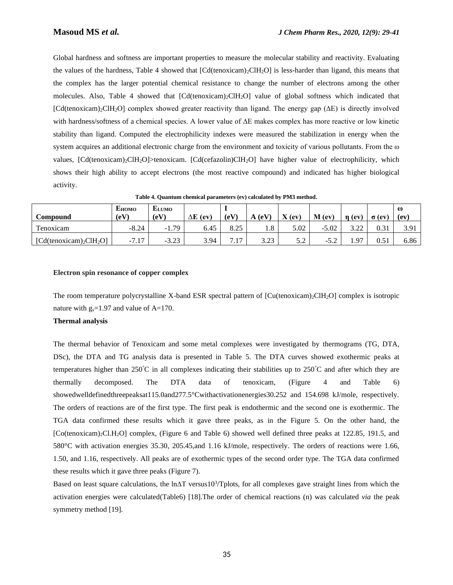Global hardness and softness are important properties to measure the molecular stability and reactivity. Evaluating the values of the hardness, Table 4 showed that  $\text{[Cd}(tenoxican)_2\text{CH}_2\text{O}]$  is less-harder than ligand, this means that the complex has the larger potential chemical resistance to change the number of electrons among the other molecules. Also, Table 4 showed that [Cd(tenoxicam)2ClH2O] value of global softness which indicated that [Cd(tenoxicam)2ClH2O] complex showed greater reactivity than ligand. The energy gap (∆E) is directly involved with hardness/softness of a chemical species. A lower value of ∆E makes complex has more reactive or low kinetic stability than ligand. Computed the electrophilicity indexes were measured the stabilization in energy when the system acquires an additional electronic charge from the environment and toxicity of various pollutants. From the ω values, [Cd(tenoxicam)2ClH2O]>tenoxicam. [Cd(cefazolin)ClH2O] have higher value of electrophilicity, which shows their high ability to accept electrons (the most reactive compound) and indicated has higher biological activity.

|                        | <b>EHOMO</b>                                      | <b>ELUMO</b> |            |                    |                       |             |            |               |              | $\omega$ |
|------------------------|---------------------------------------------------|--------------|------------|--------------------|-----------------------|-------------|------------|---------------|--------------|----------|
| Compound               | $\rm (eV)$                                        | (eV)         | ΔE<br>(ev) | (eV)               | $\triangle$ (eV)<br>A | $X$ (ev)    | $M$ (ev)   | n (ev         | $\sigma$ (ev | (ev)     |
| m<br>l'enoxicam        | $-8.24$                                           | $-1.79$      | 6.45       | $0 \Omega$<br>0.43 | $\Omega$<br>1.0       | 5.02        | $-5.02$    | 2.22<br>ے ۔۔۔ | 0.31         | 3.91     |
| $[Cd(tenoxicam)2CH2O]$ | 1 <sub>7</sub><br>$-7$ $^{\circ}$<br>$\sqrt{1.1}$ | $-3.23$      | 3.94       | 717<br>$\cdot$ .   | 3.23                  | 57<br>J . 4 | - 1<br>ے ۔ | 97            | $\rm 0.51$   | 6.86     |

**Table 4. Quantum chemical parameters (ev) calculated by PM3 method.**

### **Electron spin resonance of copper complex**

The room temperature polycrystalline X-band ESR spectral pattern of [Cu(tenoxicam)<sub>2</sub>ClH<sub>2</sub>O] complex is isotropic nature with  $g_s = 1.97$  and value of A=170.

### **Thermal analysis**

The thermal behavior of Tenoxicam and some metal complexes were investigated by thermograms (TG, DTA, DSc), the DTA and TG analysis data is presented in Table 5. The DTA curves showed exothermic peaks at temperatures higher than  $250^{\circ}$ C in all complexes indicating their stabilities up to  $250^{\circ}$ C and after which they are thermally decomposed. The DTA data of tenoxicam, (Figure 4 and Table 6) showedwelldefinedthreepeaksat115.0and277.5°Cwithactivationenergies30.252 and 154.698 kJ/mole, respectively. The orders of reactions are of the first type. The first peak is endothermic and the second one is exothermic. The TGA data confirmed these results which it gave three peaks, as in the Figure 5. On the other hand, the [Co(tenoxicam)2Cl.H2O] complex, (Figure 6 and Table 6) showed well defined three peaks at 122.85, 191.5, and 580°C with activation energies 35.30, 205.45,and 1.16 kJ/mole, respectively. The orders of reactions were 1.66, 1.50, and 1.16, respectively. All peaks are of exothermic types of the second order type. The TGA data confirmed these results which it gave three peaks (Figure 7).

Based on least square calculations, the  $\ln\Delta T$  versus10<sup>3</sup>/Tplots, for all complexes gave straight lines from which the activation energies were calculated(Table6) [18].The order of chemical reactions (n) was calculated *via* the peak symmetry method [19].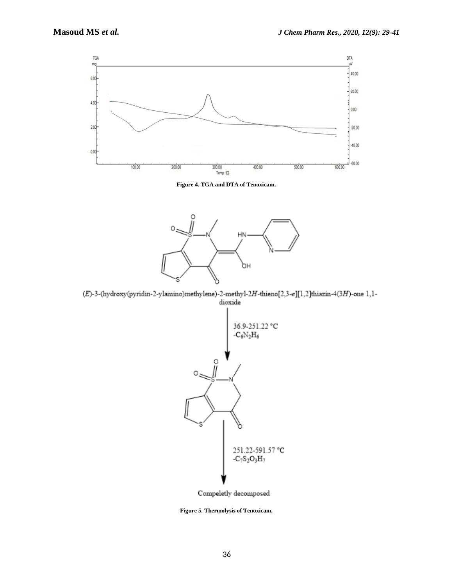

**Figure 4. TGA and DTA of Tenoxicam.**



 $(E)$ -3-(hydroxy(pyridin-2-ylamino)methylene)-2-methyl-2H-thieno[2,3-e][1,2]thiazin-4(3H)-one 1,1dioxide



Compeletly decomposed

**Figure 5. Thermolysis of Tenoxicam.**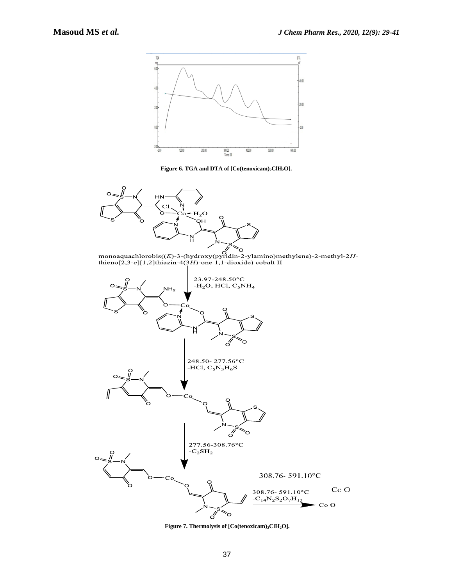

**Figure 6. TGA and DTA of [Co(tenoxicam)2ClH2O].**



monoaquachlorobis((E)-3-(hydroxy(pyridin-2-ylamino)methylene)-2-methyl-2H-<br>thieno[2,3-e][1,2]thiazin-4(3H)-one 1,1-dioxide) cobalt II



**Figure 7. Thermolysis of [Co(tenoxicam)2ClH2O].**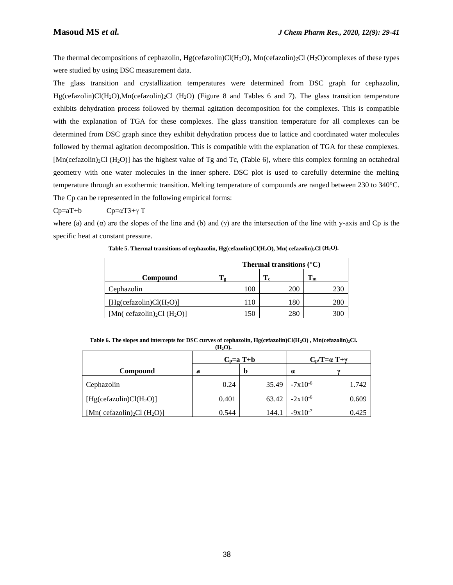The thermal decompositions of cephazolin,  $Hg$ (cefazolin)Cl( $H_2O$ ), Mn(cefazolin)<sub>2</sub>Cl( $H_2O$ )complexes of these types were studied by using DSC measurement data.

The glass transition and crystallization temperatures were determined from DSC graph for cephazolin, Hg(cefazolin)Cl(H2O),Mn(cefazolin)2Cl (H2O) (Figure 8 and Tables 6 and 7). The glass transition temperature exhibits dehydration process followed by thermal agitation decomposition for the complexes. This is compatible with the explanation of TGA for these complexes. The glass transition temperature for all complexes can be determined from DSC graph since they exhibit dehydration process due to lattice and coordinated water molecules followed by thermal agitation decomposition. This is compatible with the explanation of TGA for these complexes.  $[Mn$ (cefazolin)<sub>2</sub>Cl (H<sub>2</sub>O)] has the highest value of Tg and Tc, (Table 6), where this complex forming an octahedral geometry with one water molecules in the inner sphere. DSC plot is used to carefully determine the melting temperature through an exothermic transition. Melting temperature of compounds are ranged between 230 to 340°C. The Cp can be represented in the following empirical forms:

 $Cp=aT+b$   $Cp=aT3+\gamma T$ 

where (a) and  $(\alpha)$  are the slopes of the line and (b) and  $(\gamma)$  are the intersection of the line with y-axis and Cp is the specific heat at constant pressure.

|                                                     | Thermal transitions $(^{\circ}C)$ |           |                           |  |  |  |  |  |
|-----------------------------------------------------|-----------------------------------|-----------|---------------------------|--|--|--|--|--|
| Compound                                            |                                   | $\rm T_c$ | $\mathbf{T}_{\mathbf{m}}$ |  |  |  |  |  |
| Cephazolin                                          | 100                               | 200       |                           |  |  |  |  |  |
| [Hg(cefazolin)Cl(H <sub>2</sub> O)]                 | 110                               | 180       | 280                       |  |  |  |  |  |
| [Mn( cefazolin) <sub>2</sub> Cl (H <sub>2</sub> O)] | 150                               | 280       |                           |  |  |  |  |  |

**Table 5. Thermal transitions of cephazolin, Hg(cefazolin)Cl(H2O), Mn( cefazolin)2Cl (H2O).**

**Table 6. The slopes and intercepts for DSC curves of cephazolin, Hg(cefazolin)Cl(H2O) , Mn(cefazolin)2Cl. (H2O).**

|                                                     |       | $C_p=a T+b$ | $C_p/T = \alpha T + \gamma$ |        |
|-----------------------------------------------------|-------|-------------|-----------------------------|--------|
| <b>Compound</b>                                     | a     | þ           | $\alpha$                    | $\sim$ |
| Cephazolin                                          | 0.24  | 35.49       | $-7x10^{-6}$                | 1.742  |
| [Hg(cefazolin)Cl(H <sub>2</sub> O)]                 | 0.401 | 63.42       | $-2x10^{-6}$                | 0.609  |
| [Mn( cefazolin) <sub>2</sub> Cl (H <sub>2</sub> O)] | 0.544 | 144.1       | $-9x10^{-7}$                | 0.425  |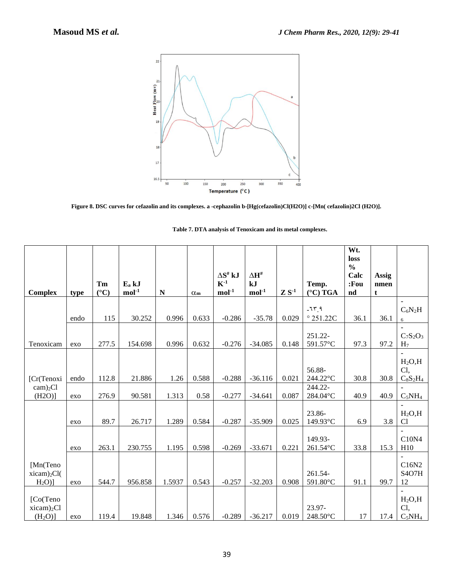

**Figure 8. DSC curves for cefazolin and its complexes. a -cephazolin b-[Hg(cefazolin)Cl(H2O)] c-[Mn( cefazolin)2Cl (H2O)].**

|                                                           |      |                 |          |        |              |                                               |                                   |            |                               | Wt.<br>loss                      |               |                                                |
|-----------------------------------------------------------|------|-----------------|----------|--------|--------------|-----------------------------------------------|-----------------------------------|------------|-------------------------------|----------------------------------|---------------|------------------------------------------------|
|                                                           |      | Tm              | $E_a kJ$ |        |              | $\Delta S^{\text{\tiny\it H}}$ kJ<br>$K^{-1}$ | $\Delta H^{\text{\tiny\#}}$<br>kJ |            | Temp.                         | $\frac{0}{0}$<br>Calc<br>$:$ Fou | Assig<br>nmen |                                                |
| <b>Complex</b>                                            | type | $({}^{\circ}C)$ | $mol-1$  | N      | $\alpha_{m}$ | $mol-1$                                       | $mol-1$                           | $Z S^{-1}$ | $(^{\circ}C)$ TGA             | nd                               | t             |                                                |
|                                                           | endo | 115             | 30.252   | 0.996  | 0.633        | $-0.286$                                      | $-35.78$                          | 0.029      | $-75.9$<br>$^{\circ}$ 251.22C | 36.1                             | 36.1          | $C_6N_2H$<br>6                                 |
| Tenoxicam                                                 | exo  | 277.5           | 154.698  | 0.996  | 0.632        | $-0.276$                                      | $-34.085$                         | 0.148      | 251.22-<br>591.57°C           | 97.3                             | 97.2          | $C_7S_2O_3$<br>H <sub>7</sub>                  |
|                                                           |      |                 |          |        |              |                                               |                                   |            |                               |                                  |               |                                                |
| [Cr(Tenoxi                                                | endo | 112.8           | 21.886   | 1.26   | 0.588        | $-0.288$                                      | $-36.116$                         | 0.021      | 56.88-<br>244.22°C            | 30.8                             | 30.8          | $H_2O, H$<br>Cl,<br>$C_8S_2H_4$                |
| $cam)_{2}Cl$<br>$(H2O)$ ]                                 | exo  | 276.9           | 90.581   | 1.313  | 0.58         | $-0.277$                                      | $-34.641$                         | 0.087      | 244.22-<br>284.04°C           | 40.9                             | 40.9          | $C_5NH_4$                                      |
|                                                           | exo  | 89.7            | 26.717   | 1.289  | 0.584        | $-0.287$                                      | $-35.909$                         | 0.025      | 23.86-<br>149.93°C            | 6.9                              | 3.8           | $H_2O, H$<br>Cl                                |
|                                                           | exo  | 263.1           | 230.755  | 1.195  | 0.598        | $-0.269$                                      | $-33.671$                         | 0.221      | 149.93-<br>261.54°C           | 33.8                             | 15.3          | C10N4<br>H10                                   |
| [Mn(Teno<br>$xicam$ <sub>2</sub> $Cl($<br>$H2O$ )         | exo  | 544.7           | 956.858  | 1.5937 | 0.543        | $-0.257$                                      | $-32.203$                         | 0.908      | 261.54-<br>591.80°C           | 91.1                             | 99.7          | C16N2<br>S <sub>4</sub> O <sub>7</sub> H<br>12 |
| [Co(Teno<br>$xicam$ <sub>2</sub> Cl<br>(H <sub>2</sub> O) | exo  | 119.4           | 19.848   | 1.346  | 0.576        | $-0.289$                                      | $-36.217$                         | 0.019      | 23.97-<br>248.50°C            | 17                               | 17.4          | $H_2O, H$<br>Cl,<br>$C_5NH_4$                  |

| Table 7. DTA analysis of Tenoxicam and its metal complexes. |  |  |
|-------------------------------------------------------------|--|--|
|                                                             |  |  |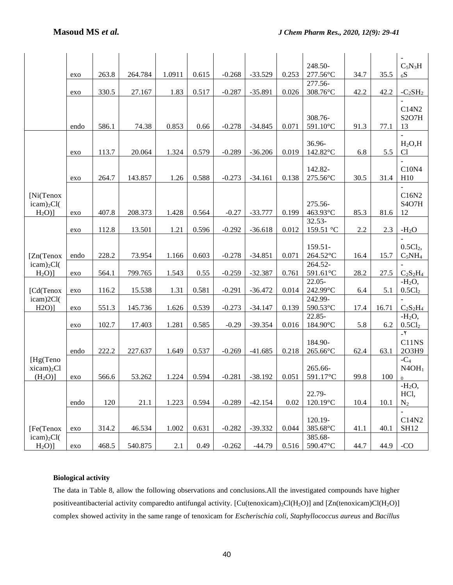|                         |      |       |         |         |       |          |           |       | 248.50-             |      |       | $C_5N_3H$                       |
|-------------------------|------|-------|---------|---------|-------|----------|-----------|-------|---------------------|------|-------|---------------------------------|
|                         | exo  | 263.8 | 264.784 | 1.0911  | 0.615 | $-0.268$ | $-33.529$ | 0.253 | 277.56°C            | 34.7 | 35.5  | 6S                              |
|                         |      |       |         |         |       |          |           |       | 277.56-             |      |       |                                 |
|                         | exo  | 330.5 | 27.167  | 1.83    | 0.517 | $-0.287$ | $-35.891$ | 0.026 | 308.76°C            | 42.2 | 42.2  | $-C_2SH_2$                      |
|                         |      |       |         |         |       |          |           |       |                     |      |       |                                 |
|                         |      |       |         |         |       |          |           |       |                     |      |       | C14N2                           |
|                         |      |       |         |         |       |          |           |       | 308.76-             |      |       | S <sub>2</sub> O <sub>7</sub> H |
|                         | endo | 586.1 | 74.38   | 0.853   | 0.66  | $-0.278$ | $-34.845$ | 0.071 | 591.10°C            | 91.3 | 77.1  | 13                              |
|                         |      |       |         |         |       |          |           |       |                     |      |       |                                 |
|                         |      |       |         |         |       |          |           |       | 36.96-              |      |       | $H_2O, H$                       |
|                         | exo  | 113.7 | 20.064  | 1.324   | 0.579 | $-0.289$ | $-36.206$ | 0.019 | 142.82°C            | 6.8  | 5.5   | Cl                              |
|                         |      |       |         |         |       |          |           |       |                     |      |       | C10N4                           |
|                         |      | 264.7 | 143.857 | 1.26    | 0.588 | $-0.273$ | $-34.161$ | 0.138 | 142.82-<br>275.56°C | 30.5 | 31.4  | H10                             |
|                         | exo  |       |         |         |       |          |           |       |                     |      |       |                                 |
| [Ni(Tenox               |      |       |         |         |       |          |           |       |                     |      |       | C16N2                           |
| $icam)_{2}Cl($          |      |       |         |         |       |          |           |       | 275.56-             |      |       | S <sub>4</sub> O <sub>7</sub> H |
| $H2O$ ]                 | exo  | 407.8 | 208.373 | 1.428   | 0.564 | $-0.27$  | $-33.777$ | 0.199 | 463.93°C            | 85.3 | 81.6  | 12                              |
|                         |      |       |         |         |       |          |           |       | $32.53-$            |      |       |                                 |
|                         | exo  | 112.8 | 13.501  | 1.21    | 0.596 | $-0.292$ | $-36.618$ | 0.012 | 159.51 °C           | 2.2  | 2.3   | $-H2O$                          |
|                         |      |       |         |         |       |          |           |       |                     |      |       |                                 |
|                         |      |       |         |         |       |          |           |       | $159.51 -$          |      |       | 0.5Cl <sub>2</sub>              |
| [Zn(Tenox               | endo | 228.2 | 73.954  | 1.166   | 0.603 | $-0.278$ | $-34.851$ | 0.071 | 264.52°C            | 16.4 | 15.7  | $C_5NH_4$                       |
| $icam)_{2}Cl($          |      |       |         |         |       |          |           |       | 264.52-             |      |       |                                 |
| $H_2O$ ]                | exo  | 564.1 | 799.765 | 1.543   | 0.55  | $-0.259$ | $-32.387$ | 0.761 | 591.61°C            | 28.2 | 27.5  | $C_2S_2H_4$                     |
|                         |      |       |         |         |       |          |           |       | $22.05 -$           |      |       | $-H2O,$                         |
| [Cd(Tenox               | exo  | 116.2 | 15.538  | 1.31    | 0.581 | $-0.291$ | $-36.472$ | 0.014 | 242.99°C            | 6.4  | 5.1   | 0.5Cl <sub>2</sub>              |
| icam)2Cl(               |      |       |         |         |       |          |           |       | 242.99-             |      |       |                                 |
| $H2O$ ]                 | exo  | 551.3 | 145.736 | 1.626   | 0.539 | $-0.273$ | $-34.147$ | 0.139 | 590.53°C            | 17.4 | 16.71 | $C_2S_2H_4$                     |
|                         |      |       |         |         |       |          |           |       | 22.85-              |      |       | $-H2O$ ,                        |
|                         | exo  | 102.7 | 17.403  | 1.281   | 0.585 | $-0.29$  | $-39.354$ | 0.016 | 184.90°C            | 5.8  | 6.2   | 0.5Cl <sub>2</sub>              |
|                         |      |       |         |         |       |          |           |       |                     |      |       | $-\tau$                         |
|                         |      |       |         |         |       |          |           |       | 184.90-             |      |       | C11NS                           |
|                         | endo | 222.2 | 227.637 | 1.649   | 0.537 | $-0.269$ | $-41.685$ | 0.218 | 265.66°C            | 62.4 | 63.1  | 2O3H9                           |
| [Hg(Teno                |      |       |         |         |       |          |           |       |                     |      |       | $-C_4$                          |
| $xicam$ <sub>2</sub> Cl |      |       |         |         |       |          |           |       | 265.66-             |      |       | N4OH <sub>1</sub>               |
| (H <sub>2</sub> O)      | exo  | 566.6 | 53.262  | 1.224   | 0.594 | $-0.281$ | $-38.192$ | 0.051 | 591.17°C            | 99.8 | 100   | $\overline{0}$                  |
|                         |      |       |         |         |       |          |           |       |                     |      |       | $-H2O,$                         |
|                         |      |       |         |         |       |          | $-42.154$ |       | 22.79-              |      |       | HCl,                            |
|                         | endo | 120   | 21.1    | 1.223   | 0.594 | $-0.289$ |           | 0.02  | 120.19°C            | 10.4 | 10.1  | $N_2$                           |
|                         |      |       |         |         |       |          |           |       | 120.19-             |      |       | C14N2                           |
| [Fe(Tenox               | exo  | 314.2 | 46.534  | 1.002   | 0.631 | $-0.282$ | $-39.332$ | 0.044 | 385.68°C            | 41.1 | 40.1  | <b>SH12</b>                     |
| icam) <sub>2</sub> Cl(  |      |       |         |         |       |          |           |       | 385.68-             |      |       |                                 |
| $H2O$ ]                 | exo  | 468.5 | 540.875 | $2.1\,$ | 0.49  | $-0.262$ | $-44.79$  | 0.516 | 590.47°C            | 44.7 | 44.9  | $-CO$                           |
|                         |      |       |         |         |       |          |           |       |                     |      |       |                                 |

### **Biological activity**

The data in Table 8, allow the following observations and conclusions.All the investigated compounds have higher positiveantibacterial activity comparedto antifungal activity. [Cu(tenoxicam)2Cl(H2O)] and [Zn(tenoxicam)Cl(H2O)] complex showed activity in the same range of tenoxicam for *Escherischia coli, Staphyllococcus aureus* and *Bacillus*